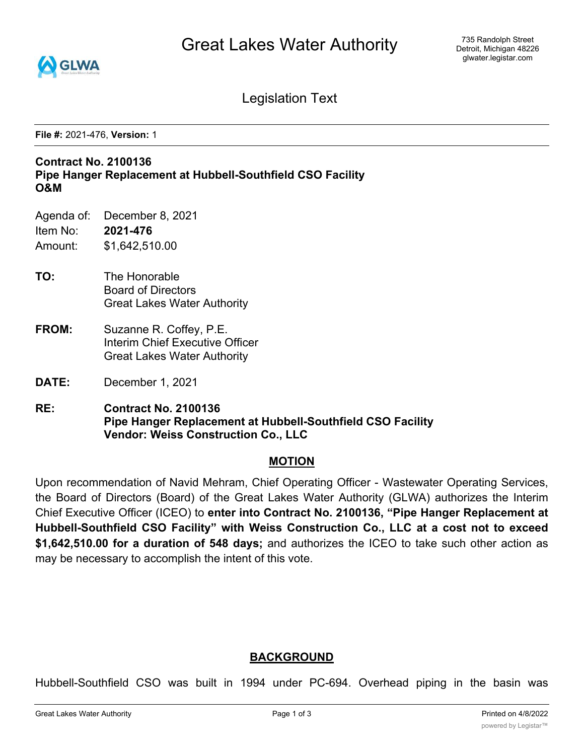

Legislation Text

**File #:** 2021-476, **Version:** 1

#### **Contract No. 2100136 Pipe Hanger Replacement at Hubbell-Southfield CSO Facility O&M**

- Agenda of: December 8, 2021
- Item No: **2021-476** Amount: \$1,642,510.00
- **TO:** The Honorable Board of Directors Great Lakes Water Authority
- **FROM:** Suzanne R. Coffey, P.E. Interim Chief Executive Officer Great Lakes Water Authority
- **DATE:** December 1, 2021
- **RE: Contract No. 2100136 Pipe Hanger Replacement at Hubbell-Southfield CSO Facility Vendor: Weiss Construction Co., LLC**

#### **MOTION**

Upon recommendation of Navid Mehram, Chief Operating Officer - Wastewater Operating Services, the Board of Directors (Board) of the Great Lakes Water Authority (GLWA) authorizes the Interim Chief Executive Officer (ICEO) to **enter into Contract No. 2100136, "Pipe Hanger Replacement at Hubbell-Southfield CSO Facility" with Weiss Construction Co., LLC at a cost not to exceed \$1,642,510.00 for a duration of 548 days;** and authorizes the ICEO to take such other action as may be necessary to accomplish the intent of this vote.

# **BACKGROUND**

Hubbell-Southfield CSO was built in 1994 under PC-694. Overhead piping in the basin was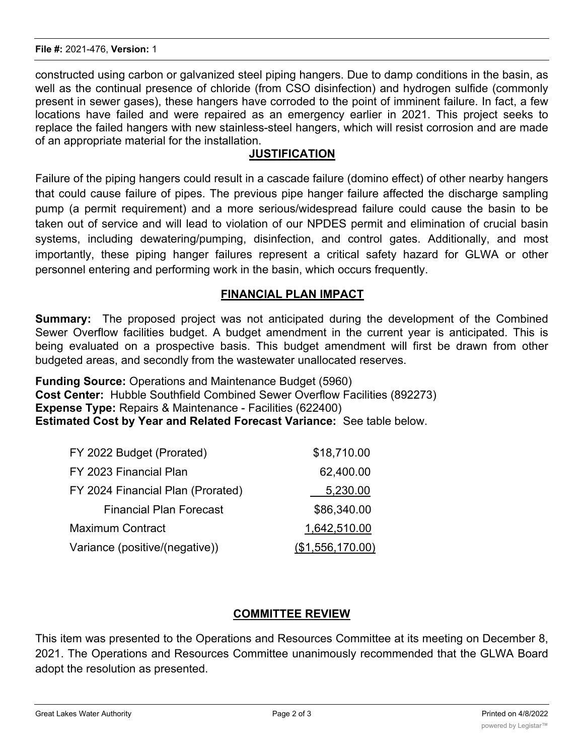constructed using carbon or galvanized steel piping hangers. Due to damp conditions in the basin, as well as the continual presence of chloride (from CSO disinfection) and hydrogen sulfide (commonly present in sewer gases), these hangers have corroded to the point of imminent failure. In fact, a few locations have failed and were repaired as an emergency earlier in 2021. This project seeks to replace the failed hangers with new stainless-steel hangers, which will resist corrosion and are made of an appropriate material for the installation.

### **JUSTIFICATION**

Failure of the piping hangers could result in a cascade failure (domino effect) of other nearby hangers that could cause failure of pipes. The previous pipe hanger failure affected the discharge sampling pump (a permit requirement) and a more serious/widespread failure could cause the basin to be taken out of service and will lead to violation of our NPDES permit and elimination of crucial basin systems, including dewatering/pumping, disinfection, and control gates. Additionally, and most importantly, these piping hanger failures represent a critical safety hazard for GLWA or other personnel entering and performing work in the basin, which occurs frequently.

### **FINANCIAL PLAN IMPACT**

**Summary:** The proposed project was not anticipated during the development of the Combined Sewer Overflow facilities budget. A budget amendment in the current year is anticipated. This is being evaluated on a prospective basis. This budget amendment will first be drawn from other budgeted areas, and secondly from the wastewater unallocated reserves.

**Funding Source:** Operations and Maintenance Budget (5960) **Cost Center:** Hubble Southfield Combined Sewer Overflow Facilities (892273) **Expense Type:** Repairs & Maintenance - Facilities (622400) **Estimated Cost by Year and Related Forecast Variance:** See table below.

| FY 2022 Budget (Prorated)         | \$18,710.00      |
|-----------------------------------|------------------|
| FY 2023 Financial Plan            | 62,400.00        |
| FY 2024 Financial Plan (Prorated) | 5,230.00         |
| <b>Financial Plan Forecast</b>    | \$86,340.00      |
| <b>Maximum Contract</b>           | 1,642,510.00     |
| Variance (positive/(negative))    | (\$1,556,170.00) |

# **COMMITTEE REVIEW**

This item was presented to the Operations and Resources Committee at its meeting on December 8, 2021. The Operations and Resources Committee unanimously recommended that the GLWA Board adopt the resolution as presented.